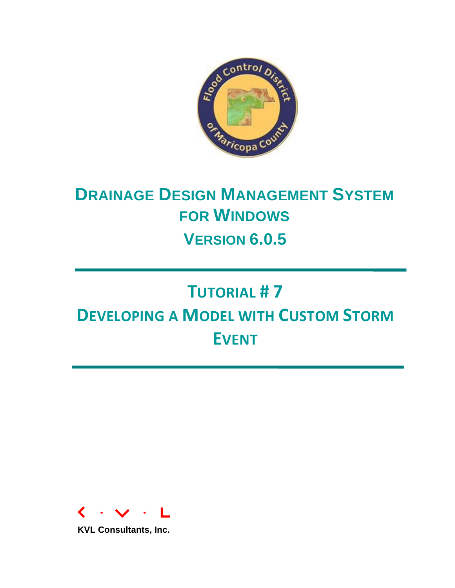

# **DRAINAGE DESIGN MANAGEMENT SYSTEM FOR WINDOWS VERSION 6.0.5**

# **TUTORIAL # 7 DEVELOPING A MODEL WITH CUSTOM STORM EVENT**



**KVL Consultants, Inc.**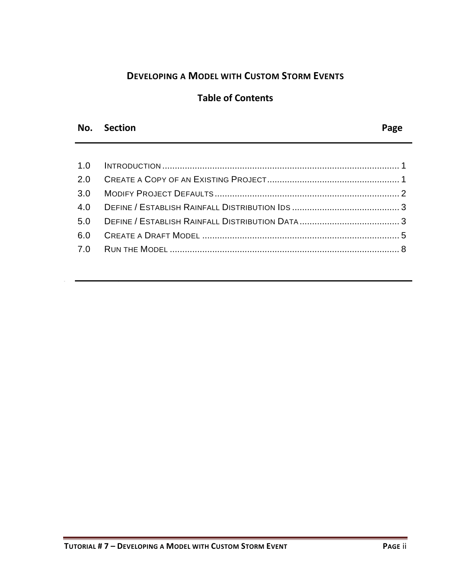# **DEVELOPING A MODEL WITH CUSTOM STORM EVENTS**

#### **Table of Contents**

#### **No. Section Page**

No. Section Page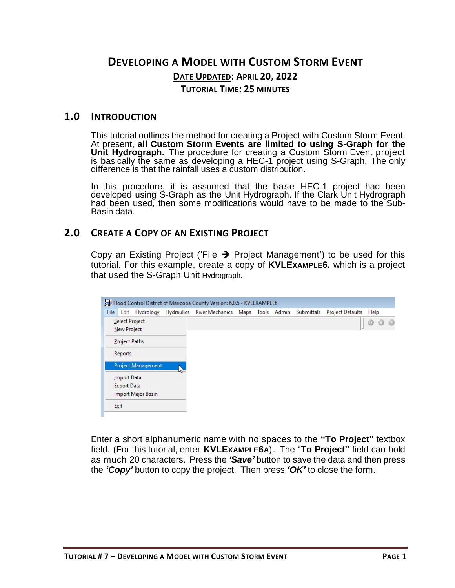# **DEVELOPING A MODEL WITH CUSTOM STORM EVENT DATE UPDATED: APRIL 20, 2022 TUTORIAL TIME: 25 MINUTES**

#### <span id="page-2-0"></span>**1.0 INTRODUCTION**

This tutorial outlines the method for creating a Project with Custom Storm Event. At present, **all Custom Storm Events are limited to using S-Graph for the Unit Hydrograph.** The procedure for creating a Custom Storm Event project is basically the same as developing a HEC-1 project using S-Graph. The only difference is that the rainfall uses a custom distribution.

In this procedure, it is assumed that the base HEC-1 project had been developed using S-Graph as the Unit Hydrograph. If the Clark Unit Hydrograph had been used, then some modifications would have to be made to the Sub-Basin data.

#### <span id="page-2-1"></span>**2.0 CREATE A COPY OF AN EXISTING PROJECT**

Copy an Existing Project ('File  $\rightarrow$  Project Management') to be used for this tutorial. For this example, create a copy of **KVLEXAMPLE6,** which is a project that used the S-Graph Unit Hydrograph.

|             | Flood Control District of Maricopa County Version: 6.0.5 - KVLEXAMPLE6 |                           |  |                                                                       |  |  |  |  |                         |                 |   |  |
|-------------|------------------------------------------------------------------------|---------------------------|--|-----------------------------------------------------------------------|--|--|--|--|-------------------------|-----------------|---|--|
| <b>File</b> |                                                                        |                           |  | Edit Hydrology Hydraulics River-Mechanics Maps Tools Admin Submittals |  |  |  |  | <b>Project Defaults</b> | Help            |   |  |
|             | <b>Select Project</b>                                                  |                           |  |                                                                       |  |  |  |  |                         | $^{\circ}$<br>a | a |  |
|             | New Project                                                            |                           |  |                                                                       |  |  |  |  |                         |                 |   |  |
|             | <b>Project Paths</b>                                                   |                           |  |                                                                       |  |  |  |  |                         |                 |   |  |
|             | Reports                                                                |                           |  |                                                                       |  |  |  |  |                         |                 |   |  |
|             |                                                                        | Project Management        |  |                                                                       |  |  |  |  |                         |                 |   |  |
|             | Import Data                                                            |                           |  |                                                                       |  |  |  |  |                         |                 |   |  |
|             | <b>Export Data</b>                                                     |                           |  |                                                                       |  |  |  |  |                         |                 |   |  |
|             |                                                                        | <b>Import Major Basin</b> |  |                                                                       |  |  |  |  |                         |                 |   |  |
|             | Exit                                                                   |                           |  |                                                                       |  |  |  |  |                         |                 |   |  |

Enter a short alphanumeric name with no spaces to the **"To Project"** textbox field. (For this tutorial, enter **KVLEXAMPLE6A**). The "**To Project"** field can hold as much 20 characters. Press the *'Save'* button to save the data and then press the *'Copy'* button to copy the project. Then press *'OK'* to close the form.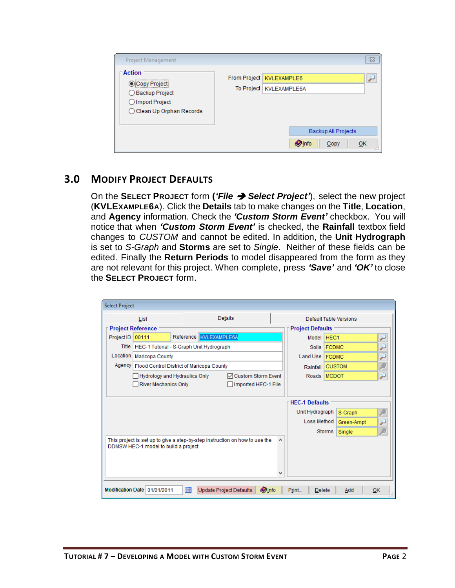| Project Management                                                                                 |                                                         |                            | $\Sigma$ |
|----------------------------------------------------------------------------------------------------|---------------------------------------------------------|----------------------------|----------|
| <b>Action</b><br>Copy Project<br>◯ Backup Project<br>◯ Import Project<br>◯ Clean Up Orphan Records | From Project   KVLEXAMPLE6<br>To Project   KVLEXAMPLE6A |                            |          |
|                                                                                                    |                                                         | <b>Backup All Projects</b> |          |
|                                                                                                    | <b>O</b> Info                                           | Copy                       | OK<br>   |

#### <span id="page-3-0"></span>**3.0 MODIFY PROJECT DEFAULTS**

On the **SELECT PROJECT** form **(***'File* ➔ *Select Project'*), select the new project (**KVLEXAMPLE6A**). Click the **Details** tab to make changes on the **Title**, **Location**, and **Agency** information. Check the *'Custom Storm Event'* checkbox. You will notice that when *'Custom Storm Event'* is checked, the **Rainfall** textbox field changes to *CUSTOM* and cannot be edited. In addition, the **Unit Hydrograph** is set to *S-Graph* and **Storms** are set to *Single*. Neither of these fields can be edited. Finally the **Return Periods** to model disappeared from the form as they are not relevant for this project. When complete, press *'Save'* and *'OK'* to close the **SELECT PROJECT** form.

| <b>Select Project</b> |                                                                             |            |  |                                |                  |   |                            |               |                        |    |  |
|-----------------------|-----------------------------------------------------------------------------|------------|--|--------------------------------|------------------|---|----------------------------|---------------|------------------------|----|--|
|                       | List                                                                        |            |  | Details                        |                  |   |                            |               | Default Table Versions |    |  |
|                       | <b>Project Reference</b>                                                    |            |  |                                |                  |   | <b>Project Defaults</b>    |               |                        |    |  |
| Project ID            | 00111                                                                       | Reference  |  | KVLEXAMPLE6A                   |                  |   | Model HEC1                 |               |                        | ۶  |  |
|                       | Title   HEC-1 Tutorial - S-Graph Unit Hydrograph                            |            |  |                                | Soils FCDMC      |   |                            | ۶             |                        |    |  |
| Location              | Maricopa County                                                             |            |  |                                | Land Use   FCDMC |   |                            |               |                        |    |  |
|                       | Agency   Flood Control District of Maricopa County                          |            |  |                                | Rainfall         |   | <b>CUSTOM</b>              |               |                        |    |  |
|                       | <b>▽ Custom Storm Event</b><br>Hydrology and Hydraulics Only                |            |  |                                |                  |   |                            |               | Roads MCDOT            | ۶  |  |
|                       | River Mechanics Only                                                        |            |  | Imported HEC-1 File            |                  |   |                            |               |                        |    |  |
|                       |                                                                             |            |  |                                |                  |   |                            |               |                        |    |  |
|                       |                                                                             |            |  |                                |                  |   | <b>HFC-1 Defaults</b>      |               |                        |    |  |
|                       |                                                                             |            |  |                                |                  |   | Unit Hydrograph<br>S-Graph |               |                        |    |  |
|                       |                                                                             |            |  |                                |                  |   | Loss Method                |               | Green-Ampt             |    |  |
|                       |                                                                             |            |  |                                |                  |   |                            | <b>Storms</b> | Single                 |    |  |
|                       | This project is set up to give a step-by-step instruction on how to use the |            |  |                                |                  | ۸ |                            |               |                        |    |  |
|                       | DDMSW HEC-1 model to build a project.                                       |            |  |                                |                  |   |                            |               |                        |    |  |
|                       |                                                                             |            |  |                                |                  |   |                            |               |                        |    |  |
|                       |                                                                             |            |  |                                |                  |   |                            |               |                        |    |  |
|                       |                                                                             |            |  |                                |                  |   |                            |               |                        |    |  |
|                       | Modification Date 01/01/2011                                                | <b>Tal</b> |  | <b>Update Project Defaults</b> | <b>Olnfo</b>     |   | Print<br><b>Delete</b>     |               | Add                    | OK |  |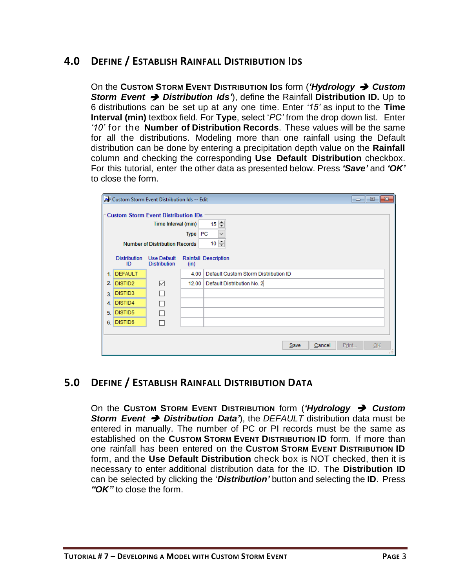## <span id="page-4-0"></span>**4.0 DEFINE / ESTABLISH RAINFALL DISTRIBUTION IDS**

On the **CUSTOM STORM EVENT DISTRIBUTION IDS** form (*'Hydrology* ➔ *Custom Storm Event* ➔ *Distribution Ids'*), define the Rainfall **Distribution ID.** Up to 6 distributions can be set up at any one time. Enter *'15'* as input to the **Time Interval (min)** textbox field. For **Type**, select '*PC'* from the drop down list. Enter *'10'* for the **Number of Distribution Records**. These values will be the same for all the distributions. Modeling more than one rainfall using the Default distribution can be done by entering a precipitation depth value on the **Rainfall**  column and checking the corresponding **Use Default Distribution** checkbox. For this tutorial, enter the other data as presented below. Press *'Save'* and *'OK'* to close the form.

|    |                           | Custom Storm Event Distribution Ids -- Edit                       |             | $\begin{array}{c c c c c c} \hline \multicolumn{3}{c }{\mathbf{C}} & \multicolumn{3}{c }{\mathbf{S}} & \multicolumn{3}{c }{\mathbf{X}} \\\hline \multicolumn{3}{c }{\mathbf{C}} & \multicolumn{3}{c }{\mathbf{D}} & \multicolumn{3}{c }{\mathbf{S}} & \multicolumn{3}{c }{\mathbf{S}} \\\hline \multicolumn{3}{c }{\mathbf{D}} & \multicolumn{3}{c }{\mathbf{D}} & \multicolumn{3}{c }{\mathbf{S}} & \multicolumn{3}{c }{\mathbf{S}} \\\hline \multicolumn$ |
|----|---------------------------|-------------------------------------------------------------------|-------------|-------------------------------------------------------------------------------------------------------------------------------------------------------------------------------------------------------------------------------------------------------------------------------------------------------------------------------------------------------------------------------------------------------------------------------------------------------------|
|    |                           | <b>Custom Storm Event Distribution IDs</b><br>Time Interval (min) |             | $15 \div$                                                                                                                                                                                                                                                                                                                                                                                                                                                   |
|    |                           | <b>Number of Distribution Records</b>                             | <b>Type</b> | <b>PC</b><br>$\checkmark$<br>$10 \div$                                                                                                                                                                                                                                                                                                                                                                                                                      |
|    | <b>Distribution</b><br>ID | Use Default<br><b>Distribution</b>                                | (in)        | <b>Rainfall Description</b>                                                                                                                                                                                                                                                                                                                                                                                                                                 |
| 1. | <b>DEFAULT</b>            |                                                                   | 4.00        | Default Custom Storm Distribution ID                                                                                                                                                                                                                                                                                                                                                                                                                        |
| 2. | DISTID <sub>2</sub>       | ☑                                                                 | 12.00       | Default Distribution No. 2                                                                                                                                                                                                                                                                                                                                                                                                                                  |
| 3. | DISTID3                   |                                                                   |             |                                                                                                                                                                                                                                                                                                                                                                                                                                                             |
| 4. | DISTID4                   | П                                                                 |             |                                                                                                                                                                                                                                                                                                                                                                                                                                                             |
| 5. | DISTID5                   |                                                                   |             |                                                                                                                                                                                                                                                                                                                                                                                                                                                             |
| 6. | DISTID6                   |                                                                   |             |                                                                                                                                                                                                                                                                                                                                                                                                                                                             |
|    |                           |                                                                   |             |                                                                                                                                                                                                                                                                                                                                                                                                                                                             |
|    |                           |                                                                   |             | Cancel<br>Print<br>QK<br>Save<br>1.11                                                                                                                                                                                                                                                                                                                                                                                                                       |

## <span id="page-4-1"></span>**5.0 DEFINE / ESTABLISH RAINFALL DISTRIBUTION DATA**

On the **CUSTOM STORM EVENT DISTRIBUTION** form (*'Hydrology* ➔ *Custom Storm Event* ➔ *Distribution Data'*), the *DEFAULT* distribution data must be entered in manually. The number of PC or PI records must be the same as established on the **CUSTOM STORM EVENT DISTRIBUTION ID** form. If more than one rainfall has been entered on the **CUSTOM STORM EVENT DISTRIBUTION ID** form, and the **Use Default Distribution** check box is NOT checked, then it is necessary to enter additional distribution data for the ID. The **Distribution ID** can be selected by clicking the '*Distribution'* button and selecting the **ID**. Press *"OK"* to close the form.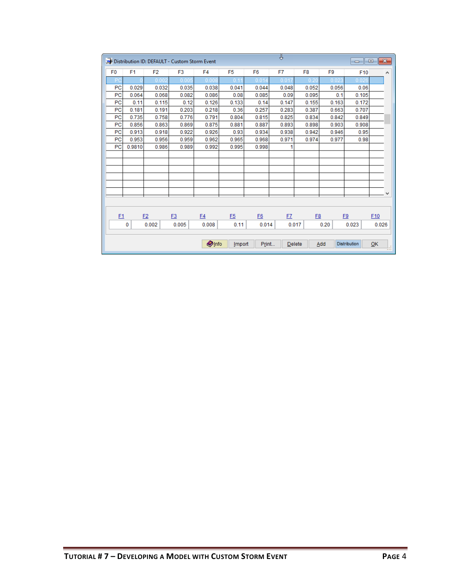|                |                |                | Distribution ID: DEFAULT - Custom Storm Event |                |                |                | ↧         |                |                | $\Box$              | $-x$<br>$\Box$ |
|----------------|----------------|----------------|-----------------------------------------------|----------------|----------------|----------------|-----------|----------------|----------------|---------------------|----------------|
| F <sub>0</sub> | F <sub>1</sub> | F <sub>2</sub> | F <sub>3</sub>                                | F <sub>4</sub> | F <sub>5</sub> | F <sub>6</sub> | F7        | F <sub>8</sub> | F <sub>9</sub> | F10                 | ۸              |
| P              |                | 0.00           | 0.005                                         | 0.008          | 0 <sub>1</sub> | 0.014          | 0.01      | 0.21           | 0.02           | 0.02(               |                |
| PC             | 0.029          | 0.032          | 0.035                                         | 0.038          | 0.041          | 0.044          | 0.048     | 0.052          | 0.056          | 0.06                |                |
| PC             | 0.064          | 0.068          | 0.082                                         | 0.086          | 0.08           | 0.085          | 0.09      | 0.095          | 0.1            | 0.105               |                |
| PC             | 0.11           | 0.115          | 0.12                                          | 0.126          | 0.133          | 0.14           | 0.147     | 0.155          | 0.163          | 0.172               |                |
| PC             | 0.181          | 0.191          | 0.203                                         | 0.218          | 0.36           | 0.257          | 0.283     | 0.387          | 0.663          | 0.707               |                |
| PC             | 0.735          | 0.758          | 0.776                                         | 0.791          | 0.804          | 0.815          | 0.825     | 0.834          | 0.842          | 0.849               |                |
| PC             | 0.856          | 0.863          | 0.869                                         | 0.875          | 0.881          | 0.887          | 0.893     | 0.898          | 0.903          | 0.908               |                |
| PC             | 0.913          | 0.918          | 0.922                                         | 0.926          | 0.93           | 0.934          | 0.938     | 0.942          | 0.946          | 0.95                |                |
| PC             | 0.953          | 0.956          | 0.959                                         | 0.962          | 0.965          | 0.968          | 0.971     | 0.974          | 0.977          | 0.98                |                |
| PC             | 0.9810         | 0.986          | 0.989                                         | 0.992          | 0.995          | 0.998          | 1         |                |                |                     |                |
|                |                |                |                                               |                |                |                |           |                |                |                     |                |
|                |                |                |                                               |                |                |                |           |                |                |                     |                |
|                |                |                |                                               |                |                |                |           |                |                |                     |                |
|                |                |                |                                               |                |                |                |           |                |                |                     |                |
|                |                |                |                                               |                |                |                |           |                |                |                     |                |
|                |                |                |                                               |                |                |                |           |                |                |                     | v              |
|                |                |                |                                               |                |                |                |           |                |                |                     |                |
|                |                |                |                                               |                |                |                |           |                |                |                     |                |
| E1             |                | E2             | E3                                            | E4             | E5             | E6             | <b>F7</b> | <b>E8</b>      |                | E9                  | F10            |
|                | $\bf{0}$       | 0.002          | 0.005                                         | 0.008          | 0.11           | 0.014          |           | 0.017          | 0.20           | 0.023               | 0.026          |
|                |                |                |                                               |                |                |                |           |                |                |                     |                |
|                |                |                |                                               | <b>O</b> Info  | Import         | Print          |           | Delete         | Add            | <b>Distribution</b> | OK<br>W        |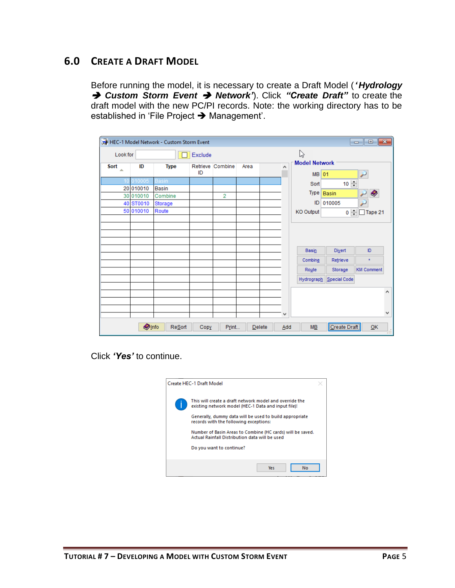# <span id="page-6-0"></span>**6.0 CREATE A DRAFT MODEL**

Before running the model, it is necessary to create a Draft Model (*'Hydrology* ➔ *Custom Storm Event* ➔ *Network'*). Click *"Create Draft"* to create the draft model with the new PC/PI records. Note: the working directory has to be established in 'File Project ➔ Management'.

|            |               | HEC-1 Model Network - Custom Storm Event |                          |                |  |               |     |                      |                         | $\Box$ $\Box$ $\mathbf{x}$ |   |
|------------|---------------|------------------------------------------|--------------------------|----------------|--|---------------|-----|----------------------|-------------------------|----------------------------|---|
| Look for   |               |                                          | Exclude                  |                |  |               |     | B                    |                         |                            |   |
| Sort<br>A. | ID            | <b>Type</b>                              | Retrieve Combine<br>Area |                |  |               | ۸   | <b>Model Network</b> |                         |                            |   |
|            |               |                                          | ID                       |                |  |               |     | <b>MB</b>            | 01                      |                            |   |
|            | 010005        | <b>Basin</b>                             |                          |                |  |               |     | Sort                 | $10 \div$               |                            |   |
|            | 20 010010     | <b>Basin</b>                             |                          |                |  |               |     | Type                 | Basin                   | Ø                          |   |
|            | 30 010010     | Combine                                  |                          | $\overline{2}$ |  |               |     |                      |                         |                            |   |
|            | 40 ST0010     | Storage                                  |                          |                |  |               |     | ID                   | 010005                  |                            |   |
|            | 50 010010     | Route                                    |                          |                |  |               |     | <b>KO</b> Output     | $0 \left  \div \right $ | $\Box$ Tape 21             |   |
|            |               |                                          |                          |                |  |               |     |                      |                         |                            |   |
|            |               |                                          |                          |                |  |               |     |                      |                         |                            |   |
|            |               |                                          |                          |                |  |               |     |                      |                         |                            |   |
|            |               |                                          |                          |                |  |               |     |                      |                         | ID.                        |   |
|            |               |                                          |                          |                |  |               |     | Basin                | Divert                  |                            |   |
|            |               |                                          |                          |                |  |               |     | Combine              | Retrieve                | $\pm$                      |   |
|            |               |                                          |                          |                |  |               |     | Route                | Storage                 | <b>KM Comment</b>          |   |
|            |               |                                          |                          |                |  |               |     | Hydrograph           | Special Code            |                            |   |
|            |               |                                          |                          |                |  |               |     |                      |                         |                            |   |
|            |               |                                          |                          |                |  |               |     |                      |                         |                            | ۸ |
|            |               |                                          |                          |                |  |               |     |                      |                         |                            |   |
|            |               |                                          |                          |                |  |               | v   |                      |                         |                            | ٧ |
|            |               |                                          |                          |                |  |               |     |                      |                         |                            |   |
|            | <b>O</b> Info | <b>Resort</b>                            | Copy                     | Print          |  | <b>Delete</b> | Add | $M\underline{B}$     | Create Draft            | QK                         | 出 |

Click *'Yes'* to continue.

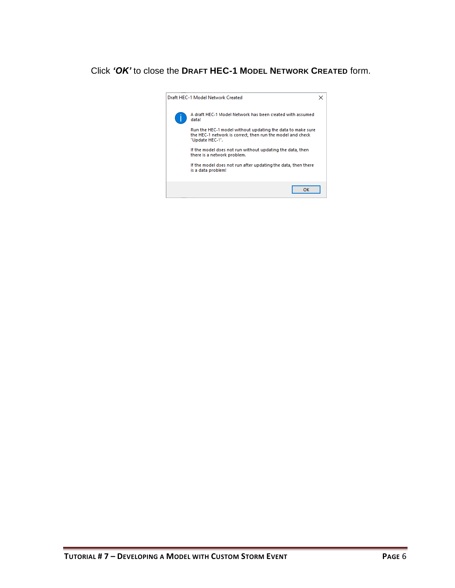#### Click *'OK'* to close the **DRAFT HEC-1 MODEL NETWORK CREATED** form.

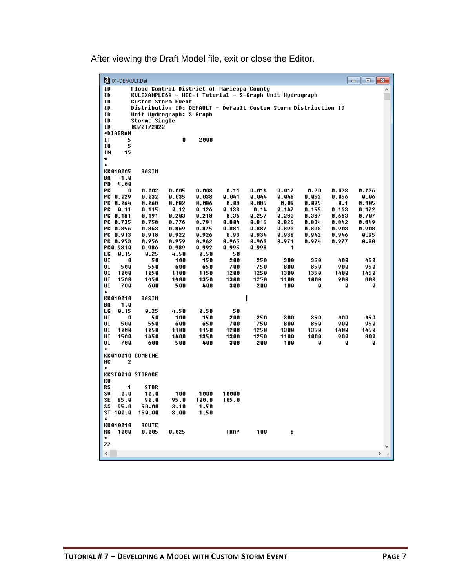After viewing the Draft Model file, exit or close the Editor.

|                          | 201-DEFAULT.Dat  |                                                                                      |               |                |               |               |                |                |                | $\begin{array}{c c c c c c} \hline \multicolumn{3}{c }{\mathbf{C}} & \multicolumn{3}{c }{\mathbf{C}} & \multicolumn{3}{c }{\mathbf{X}} \end{array}$ |  |
|--------------------------|------------------|--------------------------------------------------------------------------------------|---------------|----------------|---------------|---------------|----------------|----------------|----------------|-----------------------------------------------------------------------------------------------------------------------------------------------------|--|
| ID                       |                  | Flood Control District of Maricopa County                                            |               |                |               |               |                |                |                |                                                                                                                                                     |  |
| ID<br>ID                 |                  | KULEXAMPLE6A - HEC-1 Tutorial - S-Graph Unit Hudrograph<br><b>Custom Storm Event</b> |               |                |               |               |                |                |                |                                                                                                                                                     |  |
| ID                       |                  | Distribution ID: DEFAULT - Default Custom Storm Distribution ID                      |               |                |               |               |                |                |                |                                                                                                                                                     |  |
| ID                       |                  | Unit Hydrograph: S-Graph                                                             |               |                |               |               |                |                |                |                                                                                                                                                     |  |
| ID                       |                  | Storm: Single                                                                        |               |                |               |               |                |                |                |                                                                                                                                                     |  |
| ID                       |                  | 03/21/2022                                                                           |               |                |               |               |                |                |                |                                                                                                                                                     |  |
| ΙT                       | ∗DIAGRAM<br>5    |                                                                                      | Ø             | 2000           |               |               |                |                |                |                                                                                                                                                     |  |
| 10                       | 5                |                                                                                      |               |                |               |               |                |                |                |                                                                                                                                                     |  |
| ΙN                       | 15               |                                                                                      |               |                |               |               |                |                |                |                                                                                                                                                     |  |
| ×                        |                  |                                                                                      |               |                |               |               |                |                |                |                                                                                                                                                     |  |
| ∗                        |                  |                                                                                      |               |                |               |               |                |                |                |                                                                                                                                                     |  |
| BA                       | KK 010005<br>1.0 | BASIN                                                                                |               |                |               |               |                |                |                |                                                                                                                                                     |  |
| PВ                       | 4.00             |                                                                                      |               |                |               |               |                |                |                |                                                                                                                                                     |  |
| PC                       | ß                | 0.002                                                                                | 0.005         | 0.008          | 0.11          | 0.014         | 0.017          | 0.20           | 0.023          | 0.026                                                                                                                                               |  |
|                          | PC 0.029         | 0.032                                                                                | 0.035         | 0.038          | 0.041         | 0.044         | 0.048          | 0.052          | 0.056          | 0.06                                                                                                                                                |  |
| РC                       | 0.064            | 0.068                                                                                | 0.082         | 0.086          | 0.08          | 0.085         | 0.09           | 0.095          | 0.1            | 0.105                                                                                                                                               |  |
| РC                       | 0.11<br>PC 0.181 | 0.115<br>0.191                                                                       | 0.12<br>0.203 | 0.126<br>0.218 | 0.133<br>0.36 | 0.14<br>0.257 | 0.147<br>0.283 | 0.155<br>0.387 | 0.163<br>0.663 | 0.172<br>0.707                                                                                                                                      |  |
|                          | PC 0.735         | 0.758                                                                                | 0.776         | 0.791          | 0.804         | 0.815         | 0.825          | 0.834          | 0.842          | 0.849                                                                                                                                               |  |
|                          | PC 0.856         | 0.863                                                                                | 0.869         | 0.875          | 0.881         | 0.887         | 0.893          | 0.898          | 0.903          | 0.908                                                                                                                                               |  |
|                          | PC 0.913         | 0.918                                                                                | 0.922         | 0.926          | 0.93          | 0.934         | 0.938          | 0.942          | 0.946          | 0.95                                                                                                                                                |  |
|                          | PC 0.953         | 0.956                                                                                | 0.959         | 0.962          | 0.965         | 0.968         | 0.971          | 0.974          | 0.977          | 0.98                                                                                                                                                |  |
|                          | PC0.9810         | 0.986                                                                                | 0.989         | 0.992          | 0.995         | 0.998         | 1              |                |                |                                                                                                                                                     |  |
| LG<br>UI                 | 0.15<br>0        | 0.25<br>50                                                                           | 4.50<br>100   | 0.50<br>150    | 50<br>200     | 250           | 300            | 350            | 400            | 450                                                                                                                                                 |  |
| UI                       | 500              | 550                                                                                  | 600           | 650            | 700           | 750           | 800            | 850            | 900            | 950                                                                                                                                                 |  |
| UI                       | 1000             | 1050                                                                                 | 1100          | 1150           | 1200          | 1250          | 1300           | 1350           | 1400           | 1450                                                                                                                                                |  |
| UI                       | 1500             | 1450                                                                                 | 1400          | 1350           | 1300          | 1250          | 1100           | 1000           | 900            | 800                                                                                                                                                 |  |
| UI                       | 700              | 600                                                                                  | 500           | 400            | 300           | 200           | 100            | 0              | Ø              | 0                                                                                                                                                   |  |
| ₩                        | KK 010010        | <b>BASIN</b>                                                                         |               |                |               | I             |                |                |                |                                                                                                                                                     |  |
| BA                       | 1.0              |                                                                                      |               |                |               |               |                |                |                |                                                                                                                                                     |  |
| LG                       | 0.15             | 0.25                                                                                 | 4.50          | 0.50           | 50            |               |                |                |                |                                                                                                                                                     |  |
| UI                       | Ø                | 50                                                                                   | 100           | 150            | 200           | 250           | 300            | 350            | 400            | 450                                                                                                                                                 |  |
| UI                       | 500              | 550                                                                                  | 600           | 650            | 700           | 750           | 800            | 850            | 900            | 950                                                                                                                                                 |  |
| UI<br>UI                 | 1000<br>1500     | 1050<br>1450                                                                         | 1100<br>1400  | 1150<br>1350   | 1200<br>1300  | 1250<br>1250  | 1300<br>1100   | 1350<br>1000   | 1400<br>900    | 1450<br>800                                                                                                                                         |  |
| UI                       | 700              | 600                                                                                  | 500           | 400            | 300           | 200           | 100            | 0              | o              | Ø                                                                                                                                                   |  |
| ¥                        |                  |                                                                                      |               |                |               |               |                |                |                |                                                                                                                                                     |  |
|                          |                  | KK010010 COMBINE                                                                     |               |                |               |               |                |                |                |                                                                                                                                                     |  |
| HC                       | 2                |                                                                                      |               |                |               |               |                |                |                |                                                                                                                                                     |  |
| ₩                        |                  | <b>KKST0010 STORAGE</b>                                                              |               |                |               |               |                |                |                |                                                                                                                                                     |  |
| KO                       |                  |                                                                                      |               |                |               |               |                |                |                |                                                                                                                                                     |  |
| RS                       | 1                | <b>STOR</b>                                                                          |               |                |               |               |                |                |                |                                                                                                                                                     |  |
| SU                       | 0.0              | 10.0                                                                                 | 100           | 1000           | 10000         |               |                |                |                |                                                                                                                                                     |  |
| SE                       | 85.0             | 90.0                                                                                 | 95.0          | 100.0          | 105.0         |               |                |                |                |                                                                                                                                                     |  |
| SS                       | 95.0             | 50.00                                                                                | 3.10          | 1.50           |               |               |                |                |                |                                                                                                                                                     |  |
| ∗                        | ST 100.0         | 150.00                                                                               | 3.00          | 1.50           |               |               |                |                |                |                                                                                                                                                     |  |
|                          | KK 010010        | <b>ROUTE</b>                                                                         |               |                |               |               |                |                |                |                                                                                                                                                     |  |
| RK                       | 1000             | 0.005                                                                                | 0.025         |                | TRAP          | 100           | 8              |                |                |                                                                                                                                                     |  |
| ₩                        |                  |                                                                                      |               |                |               |               |                |                |                |                                                                                                                                                     |  |
| ZZ                       |                  |                                                                                      |               |                |               |               |                |                |                |                                                                                                                                                     |  |
| $\overline{\phantom{a}}$ |                  |                                                                                      |               |                |               |               |                |                |                | $\rightarrow$                                                                                                                                       |  |